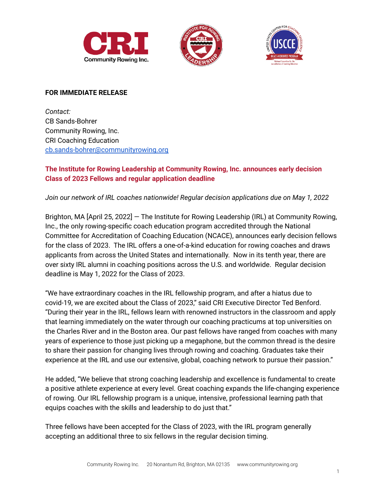





#### **FOR IMMEDIATE RELEASE**

*Contact:* CB Sands-Bohrer Community Rowing, Inc. CRI Coaching Education [cb.sands-bohrer@communityrowing.org](mailto:cb.sands-bohrer@communityrowing.org)

# **The Institute for Rowing Leadership at Community Rowing, Inc. announces early decision Class of 2023 Fellows and regular application deadline**

*Join our network of IRL coaches nationwide! Regular decision applications due on May 1, 2022*

Brighton, MA [April 25, 2022] — The Institute for Rowing Leadership (IRL) at Community Rowing, Inc., the only rowing-specific coach education program accredited through the National Committee for Accreditation of Coaching Education (NCACE), announces early decision fellows for the class of 2023. The IRL offers a one-of-a-kind education for rowing coaches and draws applicants from across the United States and internationally. Now in its tenth year, there are over sixty IRL alumni in coaching positions across the U.S. and worldwide. Regular decision deadline is May 1, 2022 for the Class of 2023.

"We have extraordinary coaches in the IRL fellowship program, and after a hiatus due to covid-19, we are excited about the Class of 2023," said CRI Executive Director Ted Benford. "During their year in the IRL, fellows learn with renowned instructors in the classroom and apply that learning immediately on the water through our coaching practicums at top universities on the Charles River and in the Boston area. Our past fellows have ranged from coaches with many years of experience to those just picking up a megaphone, but the common thread is the desire to share their passion for changing lives through rowing and coaching. Graduates take their experience at the IRL and use our extensive, global, coaching network to pursue their passion."

He added, "We believe that strong coaching leadership and excellence is fundamental to create a positive athlete experience at every level. Great coaching expands the life-changing experience of rowing. Our IRL fellowship program is a unique, intensive, professional learning path that equips coaches with the skills and leadership to do just that."

Three fellows have been accepted for the Class of 2023, with the IRL program generally accepting an additional three to six fellows in the regular decision timing.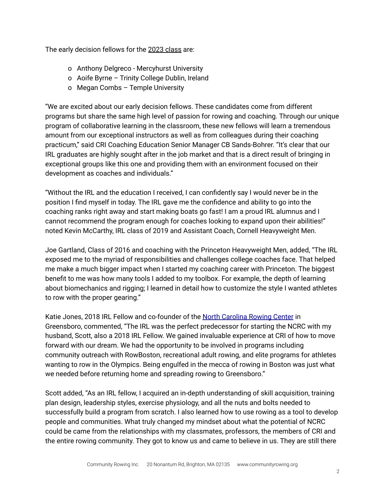The early decision fellows for the 2023 [class](https://www.communityrowing.org/programs/coach-education/rowing-leadership/72-irl-fellows) are:

- o Anthony Delgreco Mercyhurst University
- o Aoife Byrne Trinity College Dublin, Ireland
- o Megan Combs Temple University

"We are excited about our early decision fellows. These candidates come from different programs but share the same high level of passion for rowing and coaching. Through our unique program of collaborative learning in the classroom, these new fellows will learn a tremendous amount from our exceptional instructors as well as from colleagues during their coaching practicum," said CRI Coaching Education Senior Manager CB Sands-Bohrer. "It's clear that our IRL graduates are highly sought after in the job market and that is a direct result of bringing in exceptional groups like this one and providing them with an environment focused on their development as coaches and individuals."

"Without the IRL and the education I received, I can confidently say I would never be in the position I find myself in today. The IRL gave me the confidence and ability to go into the coaching ranks right away and start making boats go fast! I am a proud IRL alumnus and I cannot recommend the program enough for coaches looking to expand upon their abilities!" noted Kevin McCarthy, IRL class of 2019 and Assistant Coach, Cornell Heavyweight Men.

Joe Gartland, Class of 2016 and coaching with the Princeton Heavyweight Men, added, "The IRL exposed me to the myriad of responsibilities and challenges college coaches face. That helped me make a much bigger impact when I started my coaching career with Princeton. The biggest benefit to me was how many tools I added to my toolbox. For example, the depth of learning about biomechanics and rigging; I learned in detail how to customize the style I wanted athletes to row with the proper gearing."

Katie Jones, 2018 IRL Fellow and co-founder of the North [Carolina](https://www.ncrowing.com/) Rowing Center in Greensboro, commented, "The IRL was the perfect predecessor for starting the NCRC with my husband, Scott, also a 2018 IRL Fellow. We gained invaluable experience at CRI of how to move forward with our dream. We had the opportunity to be involved in programs including community outreach with RowBoston, recreational adult rowing, and elite programs for athletes wanting to row in the Olympics. Being engulfed in the mecca of rowing in Boston was just what we needed before returning home and spreading rowing to Greensboro."

Scott added, "As an IRL fellow, I acquired an in-depth understanding of skill acquisition, training plan design, leadership styles, exercise physiology, and all the nuts and bolts needed to successfully build a program from scratch. I also learned how to use rowing as a tool to develop people and communities. What truly changed my mindset about what the potential of NCRC could be came from the relationships with my classmates, professors, the members of CRI and the entire rowing community. They got to know us and came to believe in us. They are still there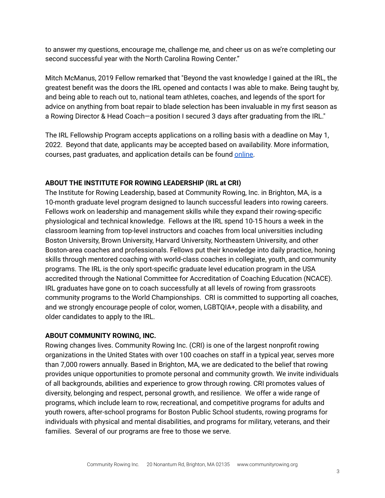to answer my questions, encourage me, challenge me, and cheer us on as we're completing our second successful year with the North Carolina Rowing Center."

Mitch McManus, 2019 Fellow remarked that "Beyond the vast knowledge I gained at the IRL, the greatest benefit was the doors the IRL opened and contacts I was able to make. Being taught by, and being able to reach out to, national team athletes, coaches, and legends of the sport for advice on anything from boat repair to blade selection has been invaluable in my first season as a Rowing Director & Head Coach—a position I secured 3 days after graduating from the IRL."

The IRL Fellowship Program accepts applications on a rolling basis with a deadline on May 1, 2022. Beyond that date, applicants may be accepted based on availability. More information, courses, past graduates, and application details can be found [online.](https://www.communityrowing.org/programs/coach-education/rowing-leadership)

## **ABOUT THE INSTITUTE FOR ROWING LEADERSHIP (IRL at CRI)**

The Institute for Rowing Leadership, based at Community Rowing, Inc. in Brighton, MA, is a 10-month graduate level program designed to launch successful leaders into rowing careers. Fellows work on leadership and management skills while they expand their rowing-specific physiological and technical knowledge. Fellows at the IRL spend 10-15 hours a week in the classroom learning from top-level instructors and coaches from local universities including Boston University, Brown University, Harvard University, Northeastern University, and other Boston-area coaches and professionals. Fellows put their knowledge into daily practice, honing skills through mentored coaching with world-class coaches in collegiate, youth, and community programs. The IRL is the only sport-specific graduate level education program in the USA accredited through the National Committee for Accreditation of Coaching Education (NCACE). IRL graduates have gone on to coach successfully at all levels of rowing from grassroots community programs to the World Championships. CRI is committed to supporting all coaches, and we strongly encourage people of color, women, LGBTQIA+, people with a disability, and older candidates to apply to the IRL.

### **ABOUT COMMUNITY ROWING, INC.**

Rowing changes lives. Community Rowing Inc. (CRI) is one of the largest nonprofit rowing organizations in the United States with over 100 coaches on staff in a typical year, serves more than 7,000 rowers annually. Based in Brighton, MA, we are dedicated to the belief that rowing provides unique opportunities to promote personal and community growth. We invite individuals of all backgrounds, abilities and experience to grow through rowing. CRI promotes values of diversity, belonging and respect, personal growth, and resilience. We offer a wide range of programs, which include learn to row, recreational, and competitive programs for adults and youth rowers, after-school programs for Boston Public School students, rowing programs for individuals with physical and mental disabilities, and programs for military, veterans, and their families. Several of our programs are free to those we serve.